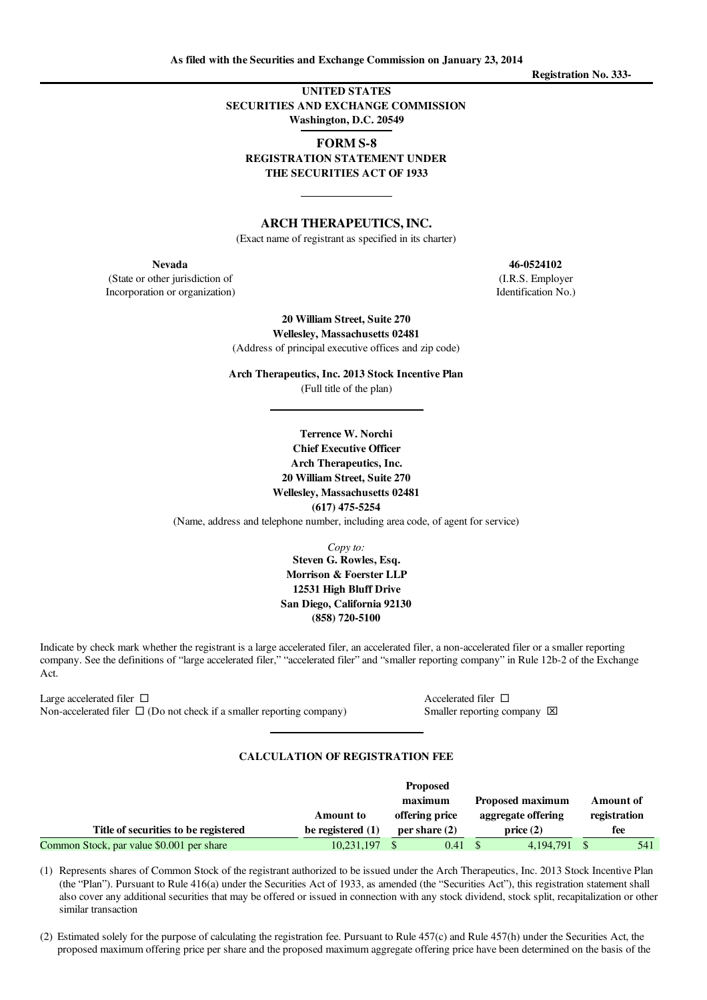UNITED STATES SECURITIES AND EXCHANGE COMMISSION Washington, D.C. 20549

FORM S-8 REGISTRATION STATEMENT UNDER THE SECURITIES ACT OF 1933

# ARCH THERAPEUTICS,INC.

(Exact name of registrant as specified in its charter)

(State or other jurisdiction of (I.R.S. Employer Incorporation or organization) Identification No.)

> 20 William Street, Suite 270 Wellesley, Massachusetts 02481

(Address of principal executive offices and zip code)

Arch Therapeutics, Inc. 2013 Stock Incentive Plan (Full title of the plan)

> Terrence W. Norchi Chief Executive Officer Arch Therapeutics, Inc. 20 William Street, Suite 270 Wellesley, Massachusetts 02481 (617) 475-5254

(Name, address and telephone number, including area code, of agent for service)

*Copy to:* Steven G. Rowles, Esq. Morrison & Foerster LLP 12531 High Bluff Drive San Diego, California 92130 (858) 720-5100

Indicate by check mark whether the registrant is a large accelerated filer, an accelerated filer, a non-accelerated filer or a smaller reporting company. See the definitions of "large accelerated filer," "accelerated filer" and "smaller reporting company" in Rule 12b-2 of the Exchange Act.

Large accelerated filer  $\Box$  Accelerated filer  $\Box$ Non-accelerated filer  $\Box$  (Do not check if a smaller reporting company) Smaller reporting company  $\boxtimes$ 

## CALCULATION OF REGISTRATION FEE

|                                           |                     | <b>Proposed</b> |                         |              |
|-------------------------------------------|---------------------|-----------------|-------------------------|--------------|
|                                           |                     | maximum         | <b>Proposed maximum</b> | Amount of    |
|                                           | <b>Amount</b> to    | offering price  | aggregate offering      | registration |
| Title of securities to be registered      | be registered $(1)$ | per share $(2)$ | price(2)                | fee          |
| Common Stock, par value \$0.001 per share | 10,231,197          | 0.41            | 4.194.791               | 541          |

(1) Represents shares of Common Stock of the registrant authorized to be issued under the Arch Therapeutics, Inc. 2013 Stock Incentive Plan (the "Plan"). Pursuant to Rule 416(a) under the Securities Act of 1933, as amended (the "Securities Act"), this registration statement shall also cover any additional securities that may be offered or issued in connection with any stock dividend, stock split, recapitalization or other similar transaction

(2) Estimated solely for the purpose of calculating the registration fee. Pursuant to Rule 457(c) and Rule 457(h) under the Securities Act, the proposed maximum offering price per share and the proposed maximum aggregate offering price have been determined on the basis of the

Nevada 46-0524102

Registration No. 333-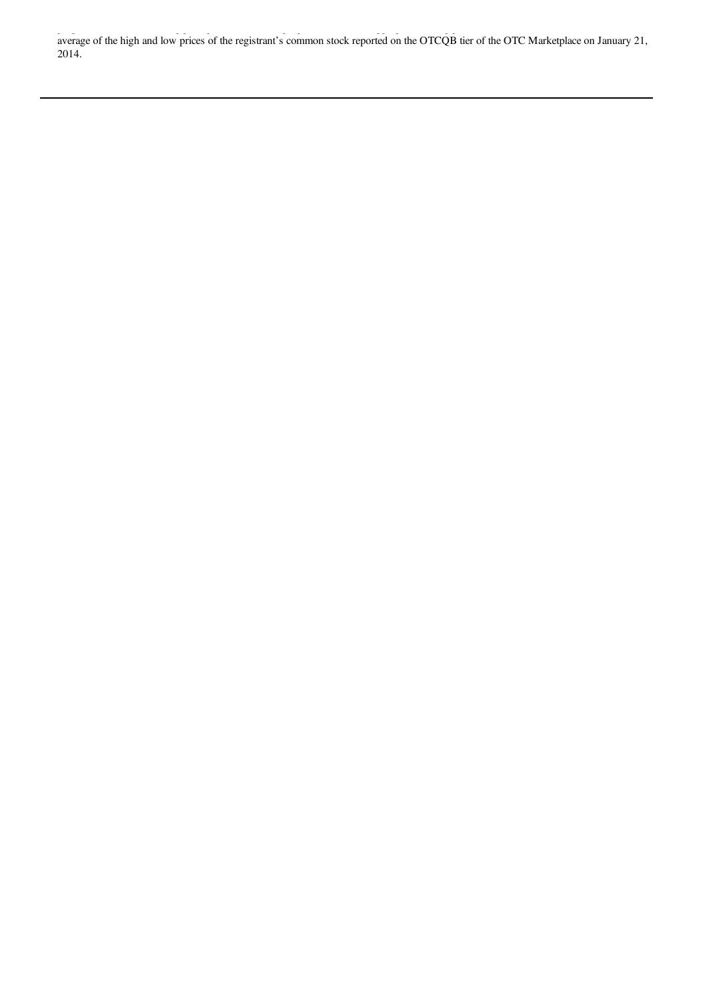proposed maximum offering price per share and the proposed maximum aggregate offering price have been determined on the basis of the average of the high and low prices of the registrant's common stock reported on the OTCQB tier of the OTC Marketplace on January 21, 2014.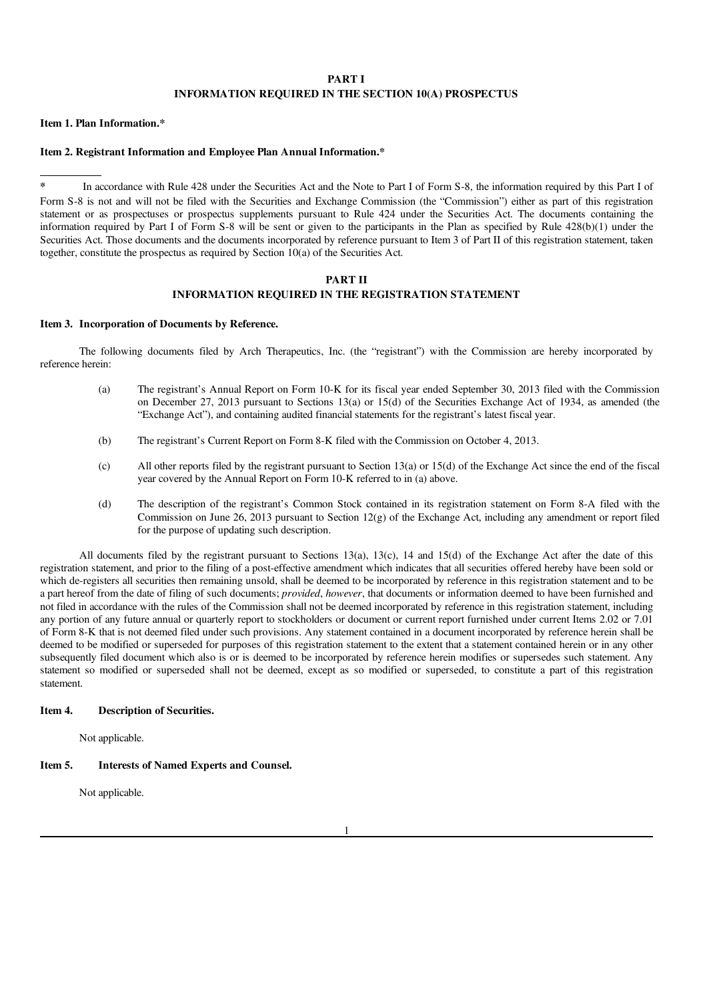## PART I INFORMATION REQUIRED IN THE SECTION 10(A) PROSPECTUS

Item 1. Plan Information.\*

### Item 2. Registrant Information and Employee Plan Annual Information.\*

In accordance with Rule 428 under the Securities Act and the Note to Part I of Form S-8, the information required by this Part I of Form S-8 is not and will not be filed with the Securities and Exchange Commission (the "Commission") either as part of this registration statement or as prospectuses or prospectus supplements pursuant to Rule 424 under the Securities Act. The documents containing the information required by Part I of Form S-8 will be sent or given to the participants in the Plan as specified by Rule 428(b)(1) under the Securities Act. Those documents and the documents incorporated by reference pursuant to Item 3 of Part II of this registration statement, taken together, constitute the prospectus as required by Section  $10(a)$  of the Securities Act.

### PART II

# INFORMATION REQUIRED IN THE REGISTRATION STATEMENT

#### Item 3. Incorporation of Documents by Reference.

The following documents filed by Arch Therapeutics, Inc. (the "registrant") with the Commission are hereby incorporated by reference herein:

- (a) The registrant's Annual Report on Form 10-K for its fiscal year ended September 30, 2013 filed with the Commission on December 27, 2013 pursuant to Sections 13(a) or 15(d) of the Securities Exchange Act of 1934, as amended (the "Exchange Act"), and containing audited financial statements for the registrant's latest fiscal year.
- (b) The registrant's Current Report on Form 8-K filed with the Commission on October 4, 2013.
- (c) All other reports filed by the registrant pursuant to Section 13(a) or  $15(d)$  of the Exchange Act since the end of the fiscal year covered by the Annual Report on Form 10-K referred to in (a) above.
- (d) The description of the registrant's Common Stock contained in its registration statement on Form 8-A filed with the Commission on June 26, 2013 pursuant to Section  $12(g)$  of the Exchange Act, including any amendment or report filed for the purpose of updating such description.

All documents filed by the registrant pursuant to Sections 13(a), 13(c), 14 and 15(d) of the Exchange Act after the date of this registration statement, and prior to the filing of a post-effective amendment which indicates that all securities offered hereby have been sold or which de-registers all securities then remaining unsold, shall be deemed to be incorporated by reference in this registration statement and to be a part hereof from the date of filing of such documents; *provided*, *however*, that documents or information deemed to have been furnished and not filed in accordance with the rules of the Commission shall not be deemed incorporated by reference in this registration statement, including any portion of any future annual or quarterly report to stockholders or document or current report furnished under current Items 2.02 or 7.01 of Form 8-K that is not deemed filed under such provisions. Any statement contained in a document incorporated by reference herein shall be deemed to be modified or superseded for purposes of this registration statement to the extent that a statement contained herein or in any other subsequently filed document which also is or is deemed to be incorporated by reference herein modifies or supersedes such statement. Any statement so modified or superseded shall not be deemed, except as so modified or superseded, to constitute a part of this registration statement.

### Item 4. Description of Securities.

Not applicable.

## Item 5. Interests of Named Experts and Counsel.

Not applicable.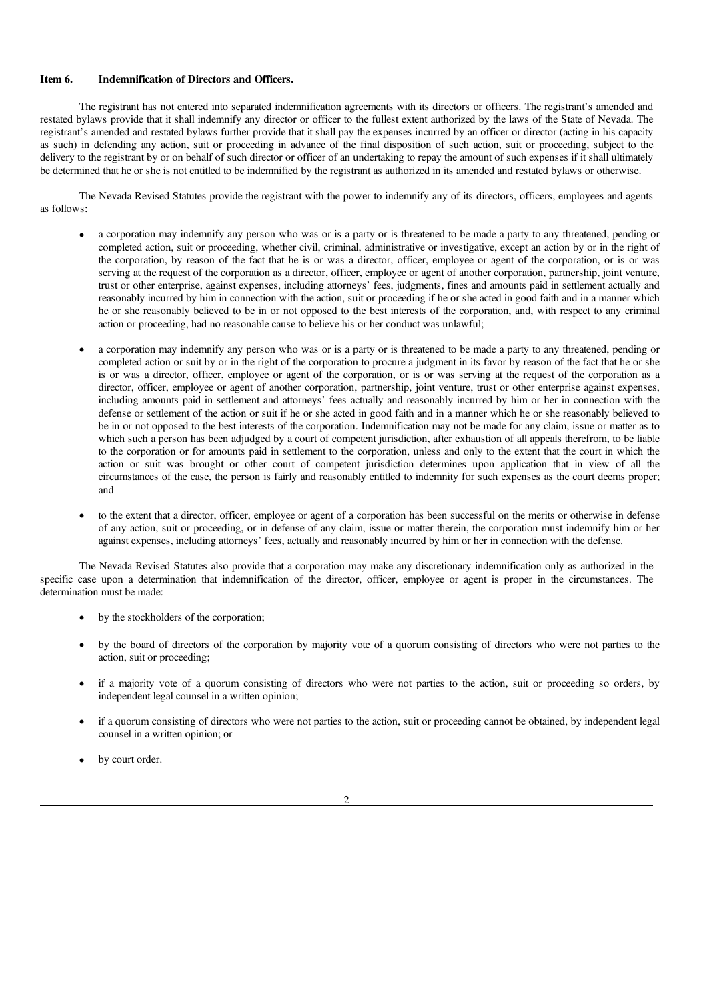### Item 6. Indemnification of Directors and Officers.

The registrant has not entered into separated indemnification agreements with its directors or officers. The registrant's amended and restated bylaws provide that it shall indemnify any director or officer to the fullest extent authorized by the laws of the State of Nevada. The registrant's amended and restated bylaws further provide that it shall pay the expenses incurred by an officer or director (acting in his capacity as such) in defending any action, suit or proceeding in advance of the final disposition of such action, suit or proceeding, subject to the delivery to the registrant by or on behalf of such director or officer of an undertaking to repay the amount of such expenses if it shall ultimately be determined that he or she is not entitled to be indemnified by the registrant as authorized in its amended and restated bylaws or otherwise.

The Nevada Revised Statutes provide the registrant with the power to indemnify any of its directors, officers, employees and agents as follows:

- a corporation may indemnify any person who was or is a party or is threatened to be made a party to any threatened, pending or completed action, suit or proceeding, whether civil, criminal, administrative or investigative, except an action by or in the right of the corporation, by reason of the fact that he is or was a director, officer, employee or agent of the corporation, or is or was serving at the request of the corporation as a director, officer, employee or agent of another corporation, partnership, joint venture, trust or other enterprise, against expenses, including attorneys' fees, judgments, fines and amounts paid in settlement actually and reasonably incurred by him in connection with the action, suit or proceeding if he or she acted in good faith and in a manner which he or she reasonably believed to be in or not opposed to the best interests of the corporation, and, with respect to any criminal action or proceeding, had no reasonable cause to believe his or her conduct was unlawful;
- a corporation may indemnify any person who was or is a party or is threatened to be made a party to any threatened, pending or completed action or suit by or in the right of the corporation to procure a judgment in its favor by reason of the fact that he or she is or was a director, officer, employee or agent of the corporation, or is or was serving at the request of the corporation as a director, officer, employee or agent of another corporation, partnership, joint venture, trust or other enterprise against expenses, including amounts paid in settlement and attorneys' fees actually and reasonably incurred by him or her in connection with the defense or settlement of the action or suit if he or she acted in good faith and in a manner which he or she reasonably believed to be in or not opposed to the best interests of the corporation. Indemnification may not be made for any claim, issue or matter as to which such a person has been adjudged by a court of competent jurisdiction, after exhaustion of all appeals therefrom, to be liable to the corporation or for amounts paid in settlement to the corporation, unless and only to the extent that the court in which the action or suit was brought or other court of competent jurisdiction determines upon application that in view of all the circumstances of the case, the person is fairly and reasonably entitled to indemnity for such expenses as the court deems proper; and
- · to the extent that a director, officer, employee or agent of a corporation has been successful on the merits or otherwise in defense of any action, suit or proceeding, or in defense of any claim, issue or matter therein, the corporation must indemnify him or her against expenses, including attorneys' fees, actually and reasonably incurred by him or her in connection with the defense.

The Nevada Revised Statutes also provide that a corporation may make any discretionary indemnification only as authorized in the specific case upon a determination that indemnification of the director, officer, employee or agent is proper in the circumstances. The determination must be made:

- by the stockholders of the corporation;
- by the board of directors of the corporation by majority vote of a quorum consisting of directors who were not parties to the action, suit or proceeding;
- if a majority vote of a quorum consisting of directors who were not parties to the action, suit or proceeding so orders, by independent legal counsel in a written opinion;
- if a quorum consisting of directors who were not parties to the action, suit or proceeding cannot be obtained, by independent legal counsel in a written opinion; or
- by court order.

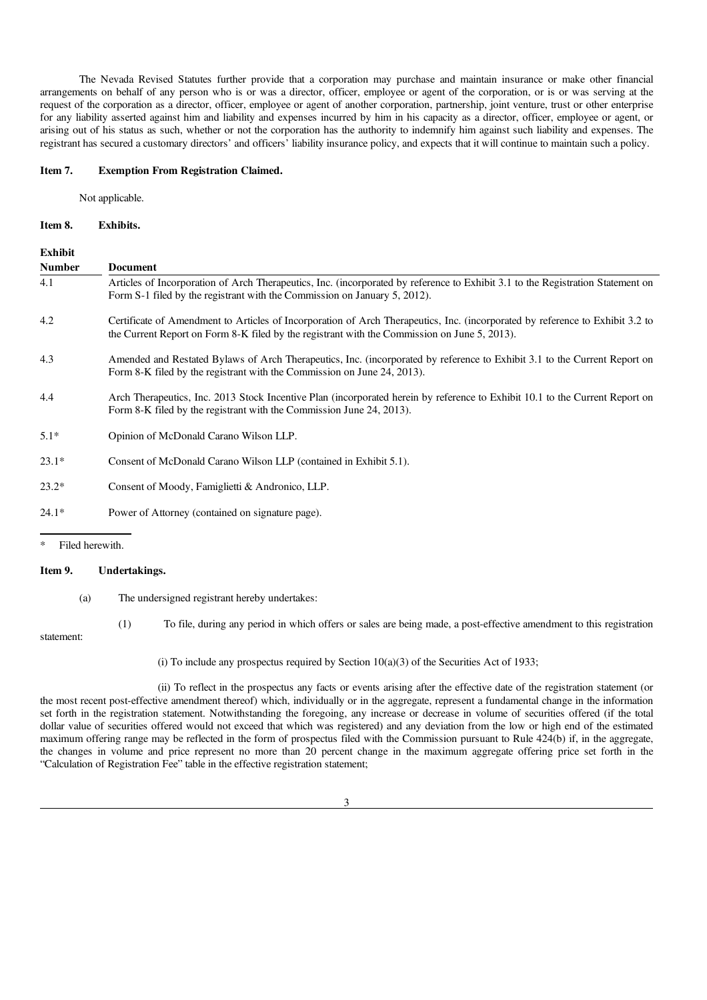The Nevada Revised Statutes further provide that a corporation may purchase and maintain insurance or make other financial arrangements on behalf of any person who is or was a director, officer, employee or agent of the corporation, or is or was serving at the request of the corporation as a director, officer, employee or agent of another corporation, partnership, joint venture, trust or other enterprise for any liability asserted against him and liability and expenses incurred by him in his capacity as a director, officer, employee or agent, or arising out of his status as such, whether or not the corporation has the authority to indemnify him against such liability and expenses. The registrant has secured a customary directors' and officers' liability insurance policy, and expects that it will continue to maintain such a policy.

#### Item 7. Exemption From Registration Claimed.

Not applicable.

#### Item 8. Exhibits.

| <b>Exhibit</b><br><b>Number</b> | <b>Document</b>                                                                                                                                                                                                               |
|---------------------------------|-------------------------------------------------------------------------------------------------------------------------------------------------------------------------------------------------------------------------------|
| 4.1                             | Articles of Incorporation of Arch Therapeutics, Inc. (incorporated by reference to Exhibit 3.1 to the Registration Statement on<br>Form S-1 filed by the registrant with the Commission on January 5, 2012).                  |
| 4.2                             | Certificate of Amendment to Articles of Incorporation of Arch Therapeutics, Inc. (incorporated by reference to Exhibit 3.2 to<br>the Current Report on Form 8-K filed by the registrant with the Commission on June 5, 2013). |
| 4.3                             | Amended and Restated Bylaws of Arch Therapeutics, Inc. (incorporated by reference to Exhibit 3.1 to the Current Report on<br>Form 8-K filed by the registrant with the Commission on June 24, 2013).                          |
| 4.4                             | Arch Therapeutics, Inc. 2013 Stock Incentive Plan (incorporated herein by reference to Exhibit 10.1 to the Current Report on<br>Form 8-K filed by the registrant with the Commission June 24, 2013).                          |
| $5.1*$                          | Opinion of McDonald Carano Wilson LLP.                                                                                                                                                                                        |
| $23.1*$                         | Consent of McDonald Carano Wilson LLP (contained in Exhibit 5.1).                                                                                                                                                             |
| $23.2*$                         | Consent of Moody, Famiglietti & Andronico, LLP.                                                                                                                                                                               |
| $24.1*$                         | Power of Attorney (contained on signature page).                                                                                                                                                                              |

Filed herewith.

#### Item 9. Undertakings.

(a) The undersigned registrant hereby undertakes:

statement:

(1) To file, during any period in which offers or sales are being made, a post-effective amendment to this registration

(i) To include any prospectus required by Section  $10(a)(3)$  of the Securities Act of 1933;

(ii) To reflect in the prospectus any facts or events arising after the effective date of the registration statement (or the most recent post-effective amendment thereof) which, individually or in the aggregate, represent a fundamental change in the information set forth in the registration statement. Notwithstanding the foregoing, any increase or decrease in volume of securities offered (if the total dollar value of securities offered would not exceed that which was registered) and any deviation from the low or high end of the estimated maximum offering range may be reflected in the form of prospectus filed with the Commission pursuant to Rule 424(b) if, in the aggregate, the changes in volume and price represent no more than 20 percent change in the maximum aggregate offering price set forth in the "Calculation of Registration Fee" table in the effective registration statement;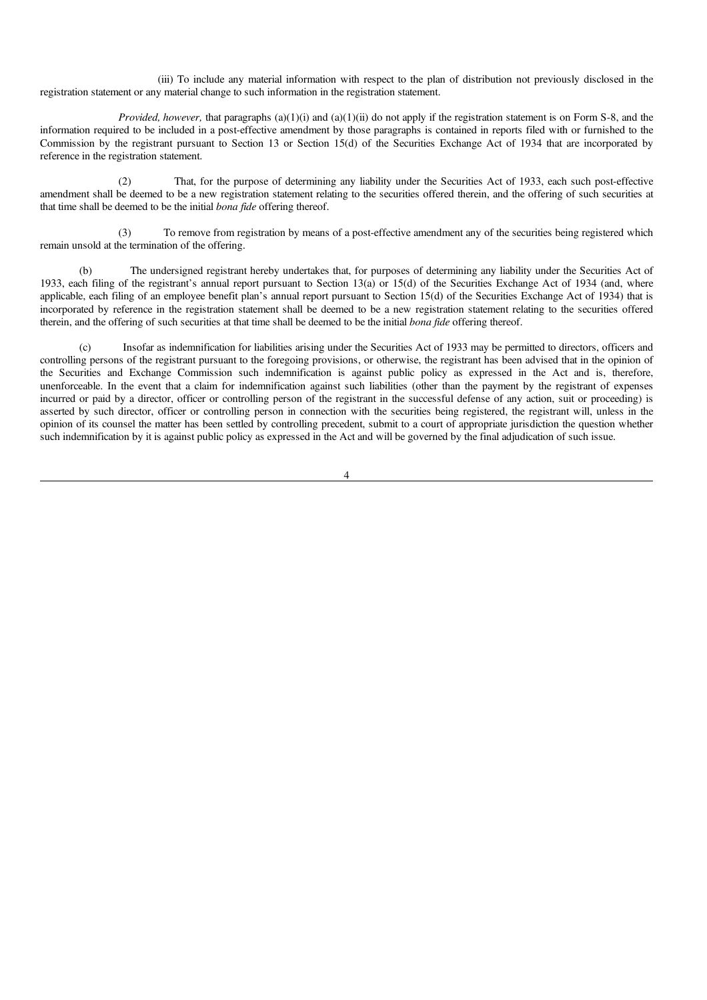(iii) To include any material information with respect to the plan of distribution not previously disclosed in the registration statement or any material change to such information in the registration statement.

*Provided, however,* that paragraphs (a)(1)(i) and (a)(1)(ii) do not apply if the registration statement is on Form S-8, and the information required to be included in a post-effective amendment by those paragraphs is contained in reports filed with or furnished to the Commission by the registrant pursuant to Section 13 or Section 15(d) of the Securities Exchange Act of 1934 that are incorporated by reference in the registration statement.

(2) That, for the purpose of determining any liability under the Securities Act of 1933, each such post-effective amendment shall be deemed to be a new registration statement relating to the securities offered therein, and the offering of such securities at that time shall be deemed to be the initial *bona fide* offering thereof.

(3) To remove from registration by means of a post-effective amendment any of the securities being registered which remain unsold at the termination of the offering.

(b) The undersigned registrant hereby undertakes that, for purposes of determining any liability under the Securities Act of 1933, each filing of the registrant's annual report pursuant to Section 13(a) or 15(d) of the Securities Exchange Act of 1934 (and, where applicable, each filing of an employee benefit plan's annual report pursuant to Section 15(d) of the Securities Exchange Act of 1934) that is incorporated by reference in the registration statement shall be deemed to be a new registration statement relating to the securities offered therein, and the offering of such securities at that time shall be deemed to be the initial *bona fide* offering thereof.

(c) Insofar as indemnification for liabilities arising under the Securities Act of 1933 may be permitted to directors, officers and controlling persons of the registrant pursuant to the foregoing provisions, or otherwise, the registrant has been advised that in the opinion of the Securities and Exchange Commission such indemnification is against public policy as expressed in the Act and is, therefore, unenforceable. In the event that a claim for indemnification against such liabilities (other than the payment by the registrant of expenses incurred or paid by a director, officer or controlling person of the registrant in the successful defense of any action, suit or proceeding) is asserted by such director, officer or controlling person in connection with the securities being registered, the registrant will, unless in the opinion of its counsel the matter has been settled by controlling precedent, submit to a court of appropriate jurisdiction the question whether such indemnification by it is against public policy as expressed in the Act and will be governed by the final adjudication of such issue.

4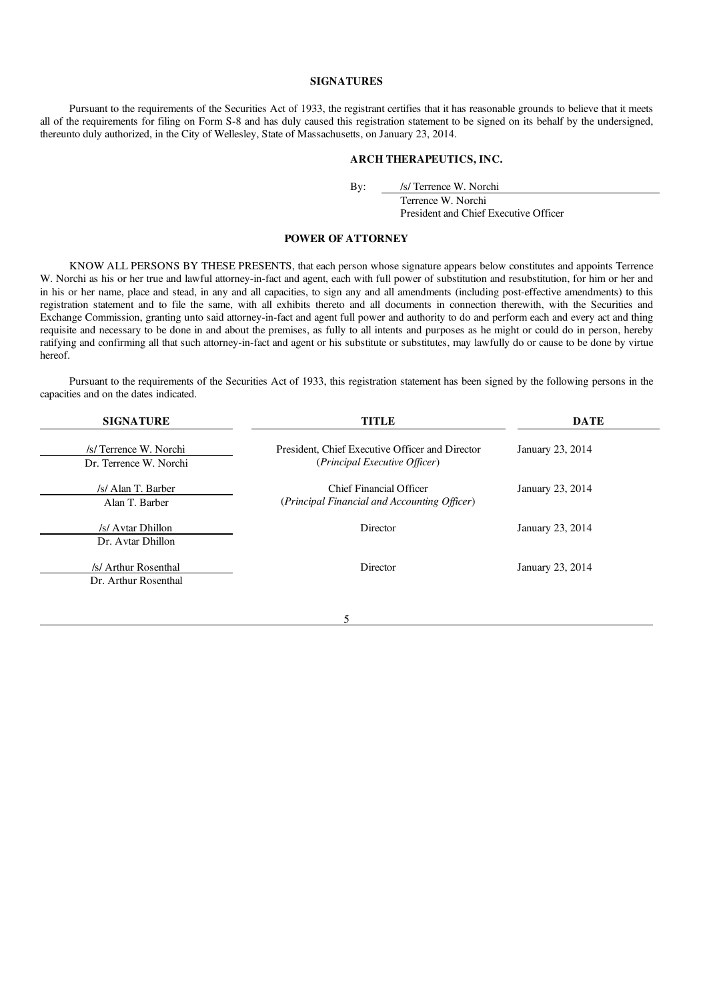## **SIGNATURES**

Pursuant to the requirements of the Securities Act of 1933, the registrant certifies that it has reasonable grounds to believe that it meets all of the requirements for filing on Form S-8 and has duly caused this registration statement to be signed on its behalf by the undersigned, thereunto duly authorized, in the City of Wellesley, State of Massachusetts, on January 23, 2014.

## ARCH THERAPEUTICS, INC.

By: /s/ Terrence W. Norchi

Terrence W. Norchi

President and Chief Executive Officer

## POWER OF ATTORNEY

KNOW ALL PERSONS BY THESE PRESENTS, that each person whose signature appears below constitutes and appoints Terrence W. Norchi as his or her true and lawful attorney-in-fact and agent, each with full power of substitution and resubstitution, for him or her and in his or her name, place and stead, in any and all capacities, to sign any and all amendments (including post-effective amendments) to this registration statement and to file the same, with all exhibits thereto and all documents in connection therewith, with the Securities and Exchange Commission, granting unto said attorney-in-fact and agent full power and authority to do and perform each and every act and thing requisite and necessary to be done in and about the premises, as fully to all intents and purposes as he might or could do in person, hereby ratifying and confirming all that such attorney-in-fact and agent or his substitute or substitutes, may lawfully do or cause to be done by virtue hereof.

Pursuant to the requirements of the Securities Act of 1933, this registration statement has been signed by the following persons in the capacities and on the dates indicated.

| <b>SIGNATURE</b>                                 | <b>TITLE</b>                                                                     | <b>DATE</b>      |
|--------------------------------------------------|----------------------------------------------------------------------------------|------------------|
| /s/ Terrence W. Norchi<br>Dr. Terrence W. Norchi | President, Chief Executive Officer and Director<br>(Principal Executive Officer) | January 23, 2014 |
| /s/ Alan T. Barber<br>Alan T. Barber             | Chief Financial Officer<br>(Principal Financial and Accounting Officer)          | January 23, 2014 |
| /s/ Avtar Dhillon<br>Dr. Avtar Dhillon           | Director                                                                         | January 23, 2014 |
| /s/ Arthur Rosenthal<br>Dr. Arthur Rosenthal     | Director                                                                         | January 23, 2014 |

#### 5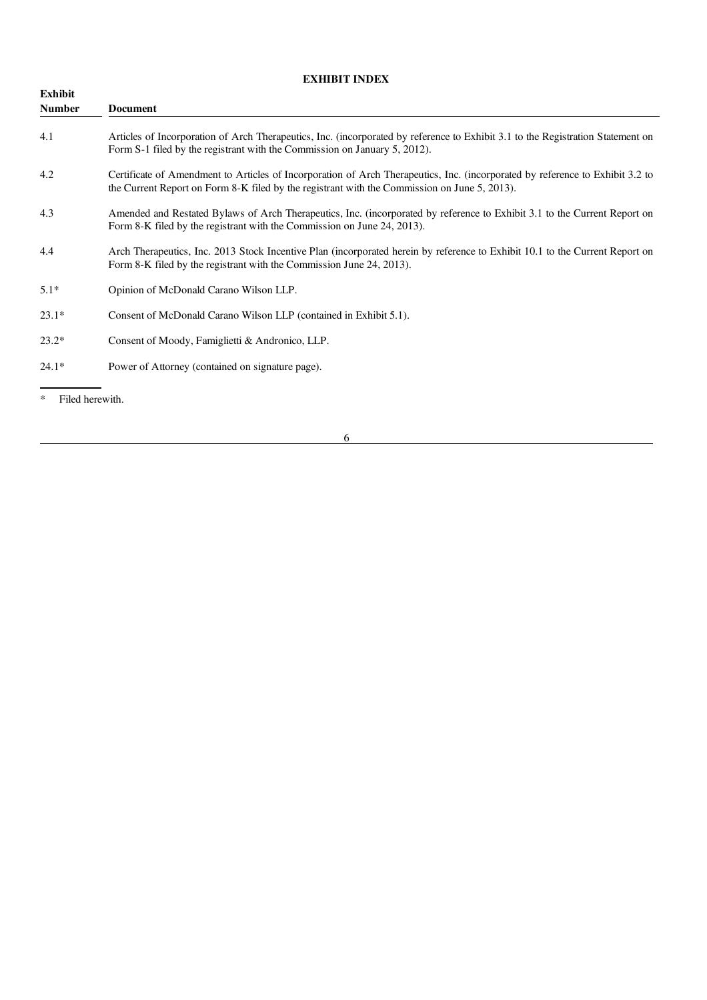# EXHIBIT INDEX

| Exhibit<br><b>Number</b> | Document                                                                                                                                                                                                                      |
|--------------------------|-------------------------------------------------------------------------------------------------------------------------------------------------------------------------------------------------------------------------------|
| 4.1                      | Articles of Incorporation of Arch Therapeutics, Inc. (incorporated by reference to Exhibit 3.1 to the Registration Statement on<br>Form S-1 filed by the registrant with the Commission on January 5, 2012).                  |
| 4.2                      | Certificate of Amendment to Articles of Incorporation of Arch Therapeutics, Inc. (incorporated by reference to Exhibit 3.2 to<br>the Current Report on Form 8-K filed by the registrant with the Commission on June 5, 2013). |
| 4.3                      | Amended and Restated Bylaws of Arch Therapeutics, Inc. (incorporated by reference to Exhibit 3.1 to the Current Report on<br>Form 8-K filed by the registrant with the Commission on June 24, 2013).                          |
| 4.4                      | Arch Therapeutics, Inc. 2013 Stock Incentive Plan (incorporated herein by reference to Exhibit 10.1 to the Current Report on<br>Form 8-K filed by the registrant with the Commission June 24, 2013).                          |
| $5.1*$                   | Opinion of McDonald Carano Wilson LLP.                                                                                                                                                                                        |
| $23.1*$                  | Consent of McDonald Carano Wilson LLP (contained in Exhibit 5.1).                                                                                                                                                             |
| $23.2*$                  | Consent of Moody, Famiglietti & Andronico, LLP.                                                                                                                                                                               |
| $24.1*$                  | Power of Attorney (contained on signature page).                                                                                                                                                                              |

\* Filed herewith.

6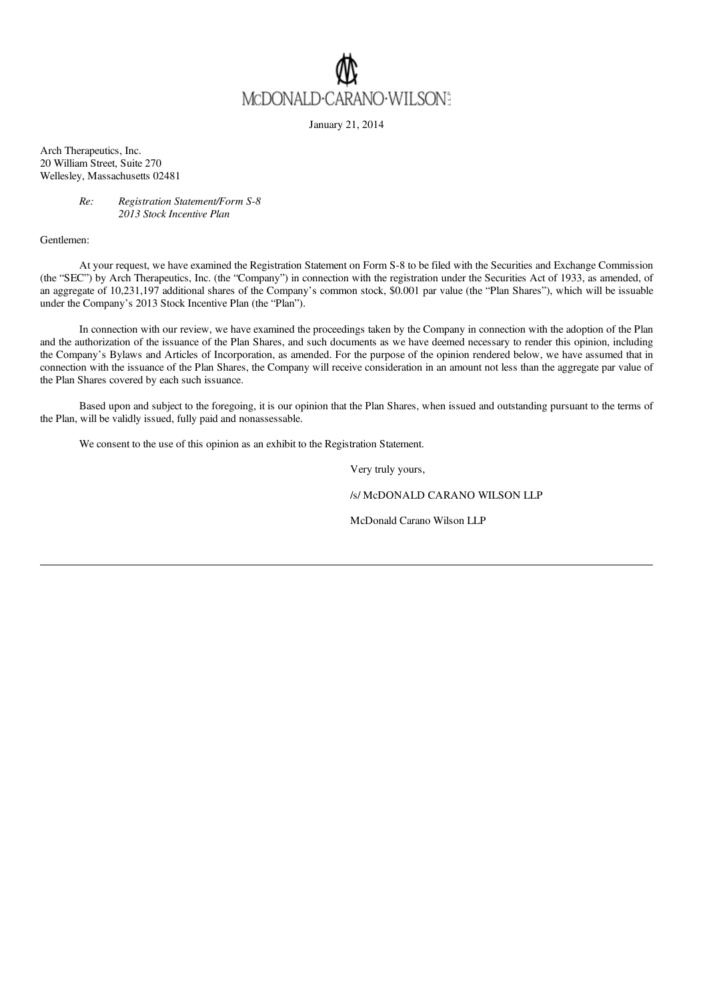

January 21, 2014

Arch Therapeutics, Inc. 20 William Street, Suite 270 Wellesley, Massachusetts 02481

### *Re: Registration Statement/Form S-8 2013 Stock Incentive Plan*

Gentlemen:

At your request, we have examined the Registration Statement on Form S-8 to be filed with the Securities and Exchange Commission (the "SEC") by Arch Therapeutics, Inc. (the "Company") in connection with the registration under the Securities Act of 1933, as amended, of an aggregate of 10,231,197 additional shares of the Company's common stock, \$0.001 par value (the "Plan Shares"), which will be issuable under the Company's 2013 Stock Incentive Plan (the "Plan").

In connection with our review, we have examined the proceedings taken by the Company in connection with the adoption of the Plan and the authorization of the issuance of the Plan Shares, and such documents as we have deemed necessary to render this opinion, including the Company's Bylaws and Articles of Incorporation, as amended. For the purpose of the opinion rendered below, we have assumed that in connection with the issuance of the Plan Shares, the Company will receive consideration in an amount not less than the aggregate par value of the Plan Shares covered by each such issuance.

Based upon and subject to the foregoing, it is our opinion that the Plan Shares, when issued and outstanding pursuant to the terms of the Plan, will be validly issued, fully paid and nonassessable.

We consent to the use of this opinion as an exhibit to the Registration Statement.

Very truly yours,

/s/ McDONALD CARANO WILSON LLP

McDonald Carano Wilson LLP